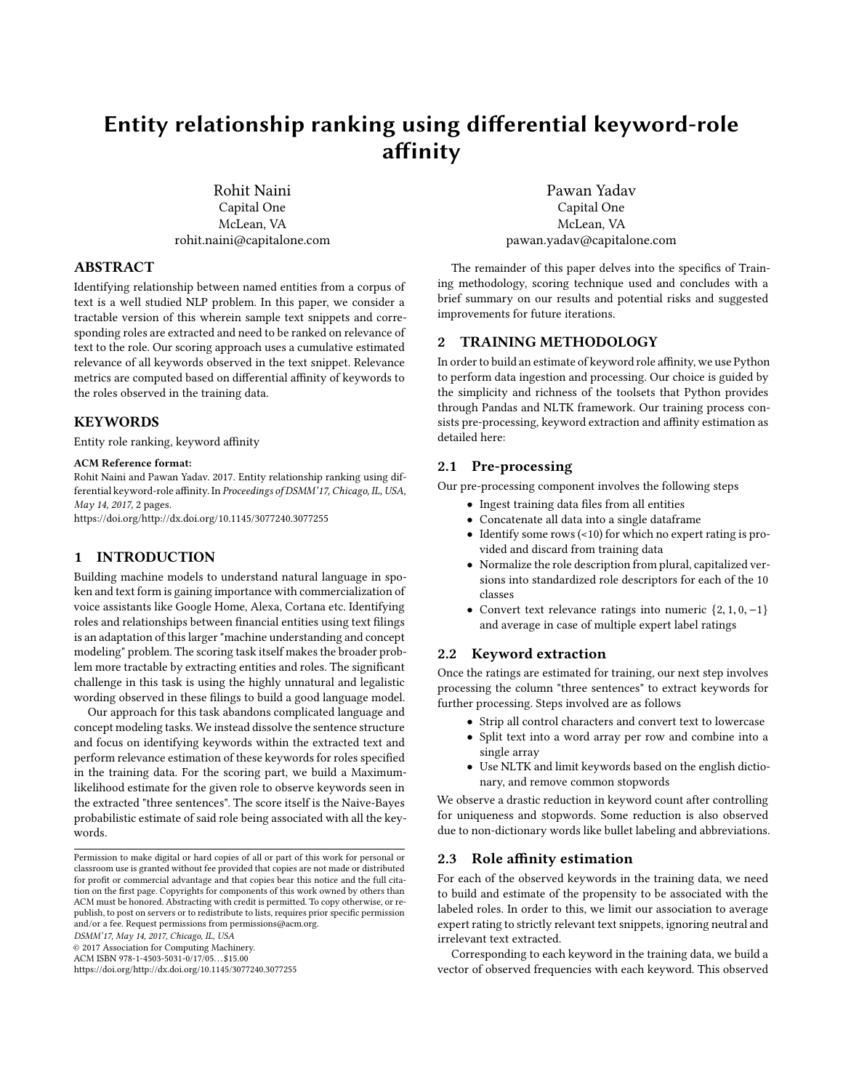# **Entity relationship ranking using differential keyword-role affinity**

Rohit Naini Capital One McLean, VA rohit.naini@capitalone.com

## **ABSTRACT**

Identifying relationship between named entities from a corpus of text is a well studied NLP problem. In this paper, we consider a tractable version of this wherein sample text snippets and corresponding roles are extracted and need to be ranked on relevance of text to the role. Our scoring approach uses a cumulative estimated relevance of all keywords observed in the text snippet. Relevance metrics are computed based on differential affinity of keywords to the roles observed in the training data.

## **KEYWORDS**

Entity role ranking, keyword affinity

#### **ACM Reference format:**

Rohit Naini and Pawan Yadav. 2017. Entity relationship ranking using differential keyword-role affinity. In *Proceedings of DSMM'17, Chicago, IL, USA, May 14, 2017,* 2 pages.

https://doi.org/http://dx.doi.org/10.1145/3077240.3077255

# **1 INTRODUCTION**

Building machine models to understand natural language in spoken and text form is gaining importance with commercialization of voice assistants like Google Home, Alexa, Cortana etc. Identifying roles and relationships between financial entities using text filings is an adaptation of this larger "machine understanding and concept modeling" problem. The scoring task itself makes the broader problem more tractable by extracting entities and roles. The significant challenge in this task is using the highly unnatural and legalistic wording observed in these filings to build a good language model.

Our approach for this task abandons complicated language and concept modeling tasks. We instead dissolve the sentence structure and focus on identifying keywords within the extracted text and perform relevance estimation of these keywords for roles specified in the training data. For the scoring part, we build a Maximumlikelihood estimate for the given role to observe keywords seen in the extracted "three sentences". The score itself is the Naive-Bayes probabilistic estimate of said role being associated with all the keywords.

*DSMM'17, May 14, 2017, Chicago, IL, USA*

© 2017 Association for Computing Machinery.

https://doi.org/http://dx.doi.org/10.1145/3077240.3077255

Pawan Yadav Capital One McLean, VA pawan.yadav@capitalone.com

The remainder of this paper delves into the specifics of Training methodology, scoring technique used and concludes with a brief summary on our results and potential risks and suggested improvements for future iterations.

## **2 TRAINING METHODOLOGY**

In order to build an estimate of keyword role affinity, we use Python to perform data ingestion and processing. Our choice is guided by the simplicity and richness of the toolsets that Python provides through Pandas and NLTK framework. Our training process consists pre-processing, keyword extraction and affinity estimation as detailed here:

## **2.1 Pre-processing**

Our pre-processing component involves the following steps

- Ingest training data files from all entities
- Concatenate all data into a single dataframe
- Identify some rows (<10) for which no expert rating is provided and discard from training data
- Normalize the role description from plural, capitalized versions into standardized role descriptors for each of the 10 classes
- Convert text relevance ratings into numeric  $\{2, 1, 0, -1\}$ and average in case of multiple expert label ratings

## **2.2 Keyword extraction**

Once the ratings are estimated for training, our next step involves processing the column "three sentences" to extract keywords for further processing. Steps involved are as follows

- Strip all control characters and convert text to lowercase
- Split text into a word array per row and combine into a single array
- Use NLTK and limit keywords based on the english dictionary, and remove common stopwords

We observe a drastic reduction in keyword count after controlling for uniqueness and stopwords. Some reduction is also observed due to non-dictionary words like bullet labeling and abbreviations.

#### **2.3 Role affinity estimation**

For each of the observed keywords in the training data, we need to build and estimate of the propensity to be associated with the labeled roles. In order to this, we limit our association to average expert rating to strictly relevant text snippets, ignoring neutral and irrelevant text extracted.

Corresponding to each keyword in the training data, we build a vector of observed frequencies with each keyword. This observed

Permission to make digital or hard copies of all or part of this work for personal or classroom use is granted without fee provided that copies are not made or distributed for profit or commercial advantage and that copies bear this notice and the full citation on the first page. Copyrights for components of this work owned by others than ACM must be honored. Abstracting with credit is permitted. To copy otherwise, or republish, to post on servers or to redistribute to lists, requires prior specific permission and/or a fee. Request permissions from permissions@acm.org.

ACM ISBN 978-1-4503-5031-0/17/05. . . \$15.00